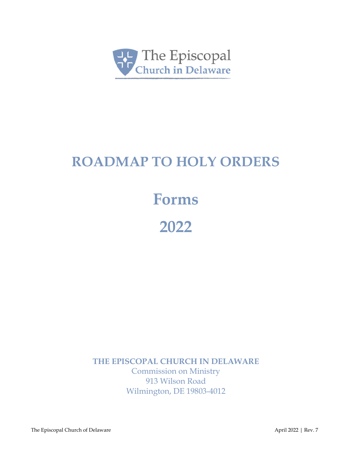

### **ROADMAP TO HOLY ORDERS**

## **Forms**

**2022** 

**THE EPISCOPAL CHURCH IN DELAWARE**

Commission on Ministry 913 Wilson Road Wilmington, DE 19803-4012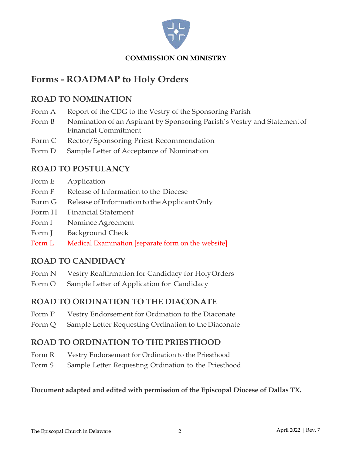

### **Forms - ROADMAP to Holy Orders**

#### **ROAD TO NOMINATION**

- Form A Report of the CDG to the Vestry of the Sponsoring Parish
- Form B Nomination of an Aspirant by Sponsoring Parish's Vestry and Statement of Financial Commitment
- Form C Rector/Sponsoring Priest Recommendation
- Form D Sample Letter of Acceptance of Nomination

### **ROAD TO POSTULANCY**

- Form E Application
- Form F Release of Information to the Diocese
- Form G Release of Information to the Applicant Only
- Form H Financial Statement
- Form I Nominee Agreement
- Form J Background Check
- Form L Medical Examination [separate form on the website]

#### **ROAD TO CANDIDACY**

- Form N Vestry Reaffirmation for Candidacy for HolyOrders
- Form O Sample Letter of Application for Candidacy

#### **ROAD TO ORDINATION TO THE DIACONATE**

- Form P Vestry Endorsement for Ordination to the Diaconate
- Form Q Sample Letter Requesting Ordination to the Diaconate

#### **ROAD TO ORDINATION TO THE PRIESTHOOD**

- Form R Vestry Endorsement for Ordination to the Priesthood
- Form S Sample Letter Requesting Ordination to the Priesthood

#### **Document adapted and edited with permission of the Episcopal Diocese of Dallas TX.**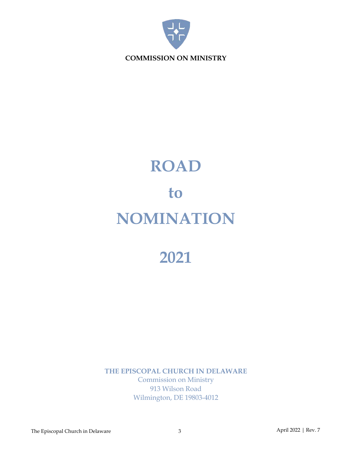

# **ROAD to NOMINATION**

## **2021**

**THE EPISCOPAL CHURCH IN DELAWARE** Commission on Ministry 913 Wilson Road Wilmington, DE 19803-4012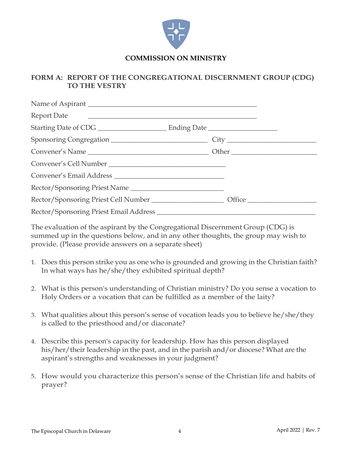

#### **FORM A: REPORT OF THE CONGREGATIONAL DISCERNMENT GROUP (CDG) TO THE VESTRY**

| Convener's Cell Number        |  |  |
|-------------------------------|--|--|
|                               |  |  |
| Rector/Sponsoring Priest Name |  |  |
|                               |  |  |
|                               |  |  |

The evaluation of the aspirant by the Congregational Discernment Group (CDG) is summed up in the questions below, and in any other thoughts, the group may wish to provide. (Please provide answers on a separate sheet)

- 1. Does this person strike you as one who is grounded and growing in the Christian faith? In what ways has he/she/they exhibited spiritual depth?
- 2. What is this person's understanding of Christian ministry? Do you sense a vocation to Holy Orders or a vocation that can be fulfilled as a member of the laity?
- 3. What qualities about this person's sense of vocation leads you to believe he/she/they is called to the priesthood and/or diaconate?
- 4. Describe this person's capacity for leadership. How has this person displayed his/her/their leadership in the past, and in the parish and/or diocese? What are the aspirant's strengths and weaknesses in your judgment?
- 5. How would you characterize this person's sense of the Christian life and habits of prayer?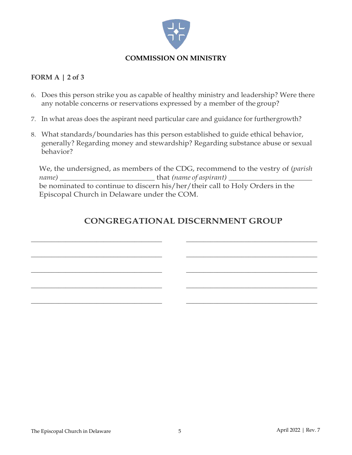

#### **FORM A | 2 of 3**

- 6. Does this person strike you as capable of healthy ministry and leadership? Were there any notable concerns or reservations expressed by a member of the group?
- 7. In what areas does the aspirant need particular care and guidance for furthergrowth?
- 8. What standards/boundaries has this person established to guide ethical behavior, generally? Regarding money and stewardship? Regarding substance abuse or sexual behavior?

We, the undersigned, as members of the CDG, recommend to the vestry of (*parish name)* \_\_\_\_\_\_\_\_\_\_\_\_\_\_\_\_\_\_\_\_\_\_\_\_\_ that *(name of aspirant)* \_\_\_\_\_\_\_\_\_\_\_\_\_\_\_\_\_\_\_\_\_\_ be nominated to continue to discern his/her/their call to Holy Orders in the Episcopal Church in Delaware under the COM.

\_\_\_\_\_\_\_\_\_\_\_\_\_\_\_\_\_\_\_\_\_\_\_\_\_\_\_\_\_\_\_\_\_\_\_\_\_\_ \_\_\_\_\_\_\_\_\_\_\_\_\_\_\_\_\_\_\_\_\_\_\_\_\_\_\_\_\_\_\_\_\_\_\_\_\_\_

\_\_\_\_\_\_\_\_\_\_\_\_\_\_\_\_\_\_\_\_\_\_\_\_\_\_\_\_\_\_\_\_\_\_\_\_\_\_ \_\_\_\_\_\_\_\_\_\_\_\_\_\_\_\_\_\_\_\_\_\_\_\_\_\_\_\_\_\_\_\_\_\_\_\_\_\_

\_\_\_\_\_\_\_\_\_\_\_\_\_\_\_\_\_\_\_\_\_\_\_\_\_\_\_\_\_\_\_\_\_\_\_\_\_\_ \_\_\_\_\_\_\_\_\_\_\_\_\_\_\_\_\_\_\_\_\_\_\_\_\_\_\_\_\_\_\_\_\_\_\_\_\_\_

\_\_\_\_\_\_\_\_\_\_\_\_\_\_\_\_\_\_\_\_\_\_\_\_\_\_\_\_\_\_\_\_\_\_\_\_\_\_ \_\_\_\_\_\_\_\_\_\_\_\_\_\_\_\_\_\_\_\_\_\_\_\_\_\_\_\_\_\_\_\_\_\_\_\_\_\_

\_\_\_\_\_\_\_\_\_\_\_\_\_\_\_\_\_\_\_\_\_\_\_\_\_\_\_\_\_\_\_\_\_\_\_\_\_\_ \_\_\_\_\_\_\_\_\_\_\_\_\_\_\_\_\_\_\_\_\_\_\_\_\_\_\_\_\_\_\_\_\_\_\_\_\_\_

#### **CONGREGATIONAL DISCERNMENT GROUP**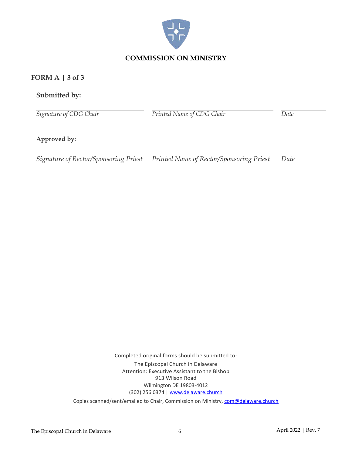

#### **FORM A | 3 of 3**

#### **Submitted by:**

*Signature of CDG Chair*

*Printed Name of CDG Chair Date*

#### **Approved by:**

*Signature of Rector/Sponsoring Priest Printed Name of Rector/Sponsoring Priest Date*

Completed original forms should be submitted to: The Episcopal Church in Delaware Attention: Executive Assistant to the Bishop 913 Wilson Road Wilmington DE 19803-4012 (302) 256.0374 | [www.delaware.church](http://www.delaware.church/) Copies scanned/sent/emailed to Chair, Commission on Ministry[, com@delaware.church](mailto:com@delaware.church)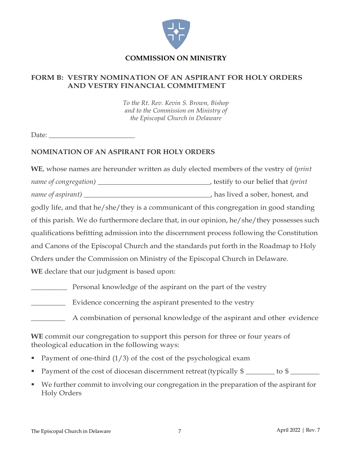

#### **COMMISSION ON MINISTRY**

#### **FORM B: VESTRY NOMINATION OF AN ASPIRANT FOR HOLY ORDERS AND VESTRY FINANCIAL COMMITMENT**

*To the Rt. Rev. Kevin S. Brown, Bishop and to the Commission on Ministry of the Episcopal Church in Delaware*

Date: \_\_\_\_\_\_\_\_\_\_\_\_\_\_\_\_\_\_\_\_\_\_\_\_\_

#### **NOMINATION OF AN ASPIRANT FOR HOLY ORDERS**

**WE**, whose names are hereunder written as duly elected members of the vestry of *(print name of congregation)* \_\_\_\_\_\_\_\_\_\_\_\_\_\_\_\_\_\_\_\_\_\_\_\_\_\_\_\_\_\_\_, testify to our belief that *(print name of aspirant)* \_\_\_\_\_\_\_\_\_\_\_\_\_\_\_\_\_\_\_\_\_\_\_\_\_\_\_\_\_\_\_\_\_\_\_, has lived a sober, honest, and godly life, and that he/she/they is a communicant of this congregation in good standing of this parish. We do furthermore declare that, in our opinion, he/she/they possesses such qualifications befitting admission into the discernment process following the Constitution and Canons of the Episcopal Church and the standards put forth in the Roadmap to Holy Orders under the Commission on Ministry of the Episcopal Church in Delaware. **WE** declare that our judgment is based upon: **EXECUTE:** Personal knowledge of the aspirant on the part of the vestry

\_\_\_\_\_\_\_\_\_\_ Evidence concerning the aspirant presented to the vestry

\_\_\_\_\_\_\_\_\_ A combination of personal knowledge of the aspirant and other evidence

**WE** commit our congregation to support this person for three or four years of theological education in the following ways:

- Payment of one-third  $(1/3)$  of the cost of the psychological exam
- Payment of the cost of diocesan discernment retreat (typically  $\frac{1}{2}$  \_\_\_\_\_\_\_\_ to  $\frac{1}{2}$
- We further commit to involving our congregation in the preparation of the aspirant for Holy Orders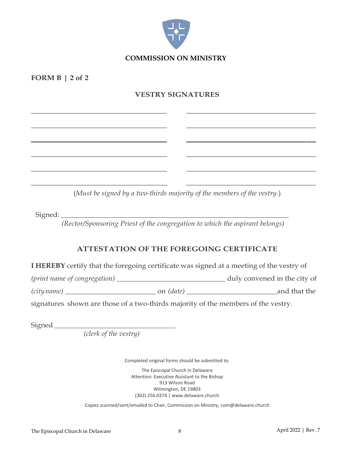

**FORM B | 2 of 2**

#### **VESTRY SIGNATURES**

(*Must be signed by a two-thirds majority of the members of the vestry.*)

 $Signed:$ 

*(Rector/Sponsoring Priest of the congregation to which the aspirant belongs)*

#### **ATTESTATION OF THE FOREGOING CERTIFICATE**

**I HEREBY** certify that the foregoing certificate was signed at a meeting of the vestry of

*(print name of congregation)* \_\_\_\_\_\_\_\_\_\_\_\_\_\_\_\_\_\_\_\_\_\_\_\_\_\_\_\_\_\_ duly convened in the city of

*(cityname)* \_\_\_\_\_\_\_\_\_\_\_\_\_\_\_\_\_\_\_\_\_\_\_\_\_ on *(date)* \_\_\_\_\_\_\_\_\_\_\_\_\_\_\_\_\_\_\_\_\_\_\_\_\_and that the

signatures shown are those of a two-thirds majority of the members of the vestry.

Signed \_\_\_\_\_\_\_\_\_\_\_\_\_\_\_\_\_\_\_\_\_\_\_\_\_\_\_\_\_\_\_\_\_\_\_

 *(clerk of the vestry)*

Completed original forms should be submitted to:

The Episcopal Church in Delaware Attention: Executive Assistant to the Bishop 913 Wilson Road Wilmington, DE 19803 (302) 256.0374 | www.delaware.church

Copies scanned/sent/emailed to Chair, Commission on Ministry, com@delaware.church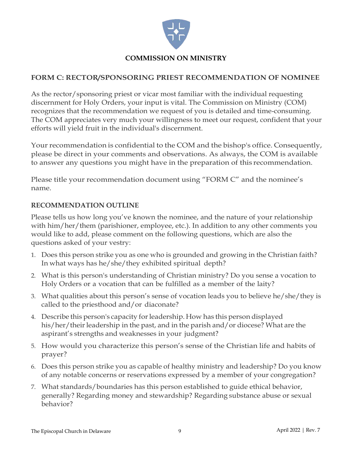

#### **COMMISSION ON MINISTRY**

#### **FORM C: RECTOR/SPONSORING PRIEST RECOMMENDATION OF NOMINEE**

As the rector/sponsoring priest or vicar most familiar with the individual requesting discernment for Holy Orders, your input is vital. The Commission on Ministry (COM) recognizes that the recommendation we request of you is detailed and time-consuming. The COM appreciates very much your willingness to meet our request, confident that your efforts will yield fruit in the individual's discernment.

Your recommendation is confidential to the COM and the bishop's office. Consequently, please be direct in your comments and observations. As always, the COM is available to answer any questions you might have in the preparation of this recommendation.

Please title your recommendation document using "FORM C" and the nominee's name.

#### **RECOMMENDATION OUTLINE**

Please tells us how long you've known the nominee, and the nature of your relationship with him/her/them (parishioner, employee, etc.). In addition to any other comments you would like to add, please comment on the following questions, which are also the questions asked of your vestry:

- 1. Does this person strike you as one who is grounded and growing in the Christian faith? In what ways has he/she/they exhibited spiritual depth?
- 2. What is this person's understanding of Christian ministry? Do you sense a vocation to Holy Orders or a vocation that can be fulfilled as a member of the laity?
- 3. What qualities about this person's sense of vocation leads you to believe he/she/they is called to the priesthood and/or diaconate?
- 4. Describe this person's capacity forleadership. How has this person displayed his/her/their leadership in the past, and in the parish and/or diocese? What are the aspirant's strengths and weaknesses in your judgment?
- 5. How would you characterize this person's sense of the Christian life and habits of prayer?
- 6. Does this person strike you as capable of healthy ministry and leadership? Do you know of any notable concerns or reservations expressed by a member of your congregation?
- 7. What standards/boundaries has this person established to guide ethical behavior, generally? Regarding money and stewardship? Regarding substance abuse or sexual behavior?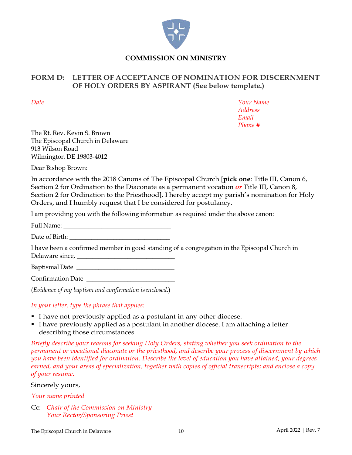

#### **FORM D: LETTER OF ACCEPTANCE OF NOMINATION FOR DISCERNMENT OF HOLY ORDERS BY ASPIRANT (See below template.)**

*Date Your Name Address Email Phone #*

The Rt. Rev. Kevin S. Brown The Episcopal Church in Delaware 913 Wilson Road Wilmington DE 19803-4012

Dear Bishop Brown:

In accordance with the 2018 Canons of The Episcopal Church [**pick one**: Title III, Canon 6, Section 2 for Ordination to the Diaconate as a permanent vocation *or* Title III, Canon 8, Section 2 for Ordination to the Priesthood], I hereby accept my parish's nomination for Holy Orders, and I humbly request that I be considered for postulancy.

I am providing you with the following information as required under the above canon:

Full Name: \_\_\_\_\_\_\_\_\_\_\_\_\_\_\_\_\_\_\_\_\_\_\_\_\_\_\_\_\_\_\_\_\_\_

Date of Birth:

I have been a confirmed member in good standing of a congregation in the Episcopal Church in Delaware since, \_\_\_\_\_\_\_\_\_\_\_\_\_\_\_\_\_\_\_\_\_\_\_\_\_\_\_\_\_\_\_

Baptismal Date \_\_\_\_\_\_\_\_\_\_\_\_\_\_\_\_\_\_\_\_\_\_\_\_\_\_\_\_\_\_\_

Confirmation Date

(*Evidence of my baptism and confirmation isenclosed.*)

#### *In your letter, type the phrase that applies:*

- I have not previously applied as a postulant in any other diocese.
- I have previously applied as a postulant in another diocese. I am attaching a letter describing those circumstances.

*Briefly describe your reasons for seeking Holy Orders, stating whether you seek ordination to the permanent or vocational diaconate or the priesthood, and describe your process of discernment by which you have been identified for ordination. Describe the level of education you have attained, your degrees earned, and your areas of specialization, together with copies of official transcripts; and enclose a copy of your resume.*

#### Sincerely yours,

*Your name printed*

Cc: *Chair of the Commission on Ministry Your Rector/Sponsoring Priest*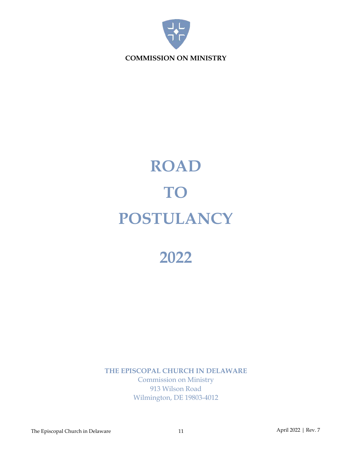

# **ROAD TO POSTULANCY**

### **2022**

**THE EPISCOPAL CHURCH IN DELAWARE** Commission on Ministry 913 Wilson Road Wilmington, DE 19803-4012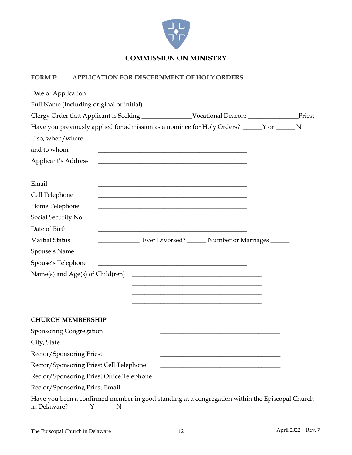

#### **FORM E: APPLICATION FOR DISCERNMENT OF HOLY ORDERS**

| Have you previously applied for admission as a nominee for Holy Orders? _____ Y or _____ N                                                                |  |
|-----------------------------------------------------------------------------------------------------------------------------------------------------------|--|
| If so, when/where<br><u> 1989 - Johann Harry Harry Harry Harry Harry Harry Harry Harry Harry Harry Harry Harry Harry Harry Harry Harry</u>                |  |
| and to whom                                                                                                                                               |  |
| Applicant's Address<br><u> 1989 - Johann Stoff, amerikansk politiker (* 1908)</u>                                                                         |  |
| Email                                                                                                                                                     |  |
| Cell Telephone<br><u> 1989 - Johann Stoff, amerikansk politiker (* 1908)</u>                                                                              |  |
| Home Telephone<br><u> 1989 - Johann Stoff, amerikansk politiker (* 1908)</u>                                                                              |  |
| Social Security No.                                                                                                                                       |  |
| Date of Birth<br><u> 1989 - Johann Stein, syntantista eta politikaria (h. 1989).</u>                                                                      |  |
| Ever Divorsed? _______ Number or Marriages _____<br><b>Martial Status</b>                                                                                 |  |
| Spouse's Name<br><u> 1989 - Johann Barbara, margaret eta idazlea (h. 1989).</u>                                                                           |  |
| Spouse's Telephone<br><u> 1989 - Johann Stoff, Amerikaansk politiker (* 1908)</u>                                                                         |  |
| Name(s) and Age(s) of Child(ren)<br><u> 1989 - Johann Harry Harry Harry Harry Harry Harry Harry Harry Harry Harry Harry Harry Harry Harry Harry Harry</u> |  |
| the control of the control of the control of the control of the control of the control of the control of the control of                                   |  |
|                                                                                                                                                           |  |
| and the control of the control of the control of the control of the control of the control of the control of the                                          |  |
| <b>CHURCH MEMBERSHIP</b>                                                                                                                                  |  |
| Sponsoring Congregation                                                                                                                                   |  |
| City, State                                                                                                                                               |  |
| Rector/Sponsoring Priest                                                                                                                                  |  |
| Rector/Sponsoring Priest Cell Telephone                                                                                                                   |  |
| Rector/Sponsoring Priest Office Telephone                                                                                                                 |  |
| Rector/Sponsoring Priest Email                                                                                                                            |  |
| Have you been a confirmed member in good standing at a congregation within the Episcopal Church                                                           |  |

in Delaware? \_\_\_\_\_\_Y \_\_\_\_\_\_N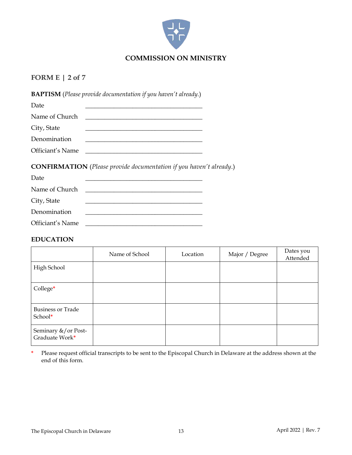

#### **FORM E | 2 of 7**

**BAPTISM** (*Please provide documentation if you haven't already.*)

| Date             |  |
|------------------|--|
| Name of Church   |  |
| City, State      |  |
| Denomination     |  |
| Officiant's Name |  |

**CONFIRMATION** (*Please provide documentation if you haven't already*.)

| Date             |  |
|------------------|--|
| Name of Church   |  |
| City, State      |  |
| Denomination     |  |
| Officiant's Name |  |

#### **EDUCATION**

|                                       | Name of School | Location | Major / Degree | Dates you<br>Attended |
|---------------------------------------|----------------|----------|----------------|-----------------------|
| High School                           |                |          |                |                       |
| College*                              |                |          |                |                       |
| <b>Business or Trade</b><br>School*   |                |          |                |                       |
| Seminary &/or Post-<br>Graduate Work* |                |          |                |                       |

**\*** Please request official transcripts to be sent to the Episcopal Church in Delaware at the address shown at the end of this form.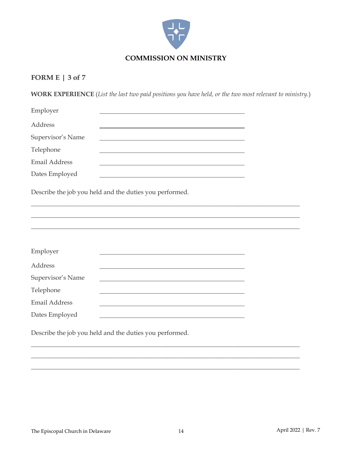

#### **FORM E | 3 of 7**

**WORK EXPERIENCE** (*List the last two paid positions you have held, or the two most relevant to ministry.*)

| Employer             |                                                                                                                                                                                                                               |  |
|----------------------|-------------------------------------------------------------------------------------------------------------------------------------------------------------------------------------------------------------------------------|--|
| Address              |                                                                                                                                                                                                                               |  |
| Supervisor's Name    |                                                                                                                                                                                                                               |  |
| Telephone            | <u> 1989 - Johann Stoff, deutscher Stoff, der Stoff, der Stoff, der Stoff, der Stoff, der Stoff, der Stoff, der S</u>                                                                                                         |  |
| <b>Email Address</b> | the control of the control of the control of the control of the control of the control of the control of the control of the control of the control of the control of the control of the control of the control of the control |  |
| Dates Employed       | the control of the control of the control of the control of the control of the control of the control of the control of the control of the control of the control of the control of the control of the control of the control |  |
|                      | Describe the job you held and the duties you performed.                                                                                                                                                                       |  |
|                      |                                                                                                                                                                                                                               |  |
|                      |                                                                                                                                                                                                                               |  |
|                      |                                                                                                                                                                                                                               |  |
| Employer             |                                                                                                                                                                                                                               |  |
| Address              | <u> 1989 - Johann Stoff, deutscher Stoff, der Stoff, der Stoff, der Stoff, der Stoff, der Stoff, der Stoff, der S</u>                                                                                                         |  |
| Supervisor's Name    |                                                                                                                                                                                                                               |  |
| Telephone            | the control of the control of the control of the control of the control of the control of the control of the control of the control of the control of the control of the control of the control of the control of the control |  |
| <b>Email Address</b> | the control of the control of the control of the control of the control of the control of the control of the control of the control of the control of the control of the control of the control of the control of the control |  |
| Dates Employed       | <u> 1980 - Andrea Station Barbara, actor a component de la componentación de la componentación de la componentaci</u>                                                                                                         |  |
|                      | Describe the job you held and the duties you performed.                                                                                                                                                                       |  |

\_\_\_\_\_\_\_\_\_\_\_\_\_\_\_\_\_\_\_\_\_\_\_\_\_\_\_\_\_\_\_\_\_\_\_\_\_\_\_\_\_\_\_\_\_\_\_\_\_\_\_\_\_\_\_\_\_\_\_\_\_\_\_\_\_\_\_\_\_\_\_\_\_\_\_\_\_\_\_\_\_\_\_\_\_ \_\_\_\_\_\_\_\_\_\_\_\_\_\_\_\_\_\_\_\_\_\_\_\_\_\_\_\_\_\_\_\_\_\_\_\_\_\_\_\_\_\_\_\_\_\_\_\_\_\_\_\_\_\_\_\_\_\_\_\_\_\_\_\_\_\_\_\_\_\_\_\_\_\_\_\_\_\_\_\_\_\_\_\_\_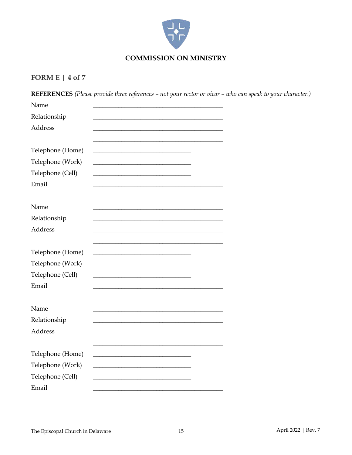

#### FORM E |  $4$  of  $7$

REFERENCES (Please provide three references - not your rector or vicar - who can speak to your character.) Name Relationship Address Telephone (Home) <u> 1989 - Johann Harry Harry Harry Harry Harry Harry Harry Harry Harry Harry Harry Harry Harry Harry Harry Harry</u> Telephone (Work) Telephone (Cell) Email Name Relationship Address Telephone (Home) <u> Liberal Communication</u> Telephone (Work) Telephone (Cell) Email Name Relationship Address Telephone (Home) <u> 1989 - Johann Harry Harry Harry Harry Harry Harry Harry Harry Harry Harry Harry Harry Harry Harry Harry Harry</u> Telephone (Work) <u> 1980 - Johann Stein, mars an deus Amerikaansk kommunister (</u> Telephone (Cell) Email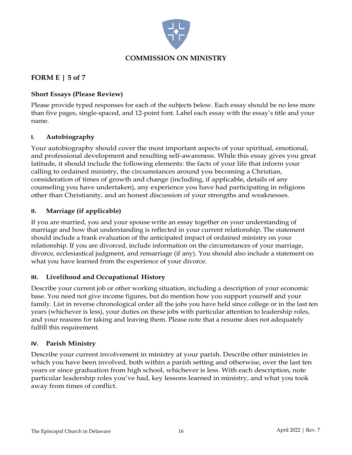

#### **FORM E | 5 of 7**

#### **Short Essays (Please Review)**

Please provide typed responses for each of the subjects below. Each essay should be no less more than five pages, single-spaced, and 12-point font. Label each essay with the essay's title and your name.

#### **I. Autobiography**

Your autobiography should cover the most important aspects of your spiritual, emotional, and professional development and resulting self-awareness. While this essay gives you great latitude, it should include the following elements: the facts of your life that inform your calling to ordained ministry, the circumstances around you becoming a Christian, consideration of times of growth and change (including, if applicable, details of any counseling you have undertaken), any experience you have had participating in religions other than Christianity, and an honest discussion of your strengths and weaknesses.

#### **II. Marriage (if applicable)**

If you are married, you and your spouse write an essay together on your understanding of marriage and how that understanding is reflected in your current relationship. The statement should include a frank evaluation of the anticipated impact of ordained ministry on your relationship. If you are divorced, include information on the circumstances of your marriage, divorce, ecclesiastical judgment, and remarriage (if any). You should also include a statement on what you have learned from the experience of your divorce.

#### **III. Livelihood and Occupational History**

Describe your current job or other working situation, including a description of your economic base. You need not give income figures, but do mention how you support yourself and your family. List in reverse chronological order all the jobs you have held since college or in the last ten years (whichever is less), your duties on these jobs with particular attention to leadership roles, and your reasons for taking and leaving them. Please note that a resume does not adequately fulfill this requirement.

#### **IV. Parish Ministry**

Describe your current involvement in ministry at your parish. Describe other ministries in which you have been involved, both within a parish setting and otherwise, over the last ten years or since graduation from high school, whichever is less. With each description, note particular leadership roles you've had, key lessons learned in ministry, and what you took away from times of conflict.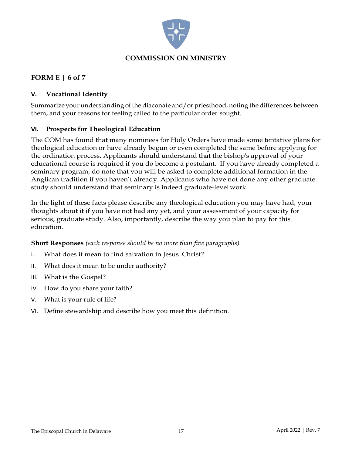

#### **FORM E | 6 of 7**

#### **V. Vocational Identity**

Summarize your understanding of the diaconate and/or priesthood, noting the differences between them, and your reasons for feeling called to the particular order sought.

#### **VI. Prospects for Theological Education**

The COM has found that many nominees for Holy Orders have made some tentative plans for theological education or have already begun or even completed the same before applying for the ordination process. Applicants should understand that the bishop's approval of your educational course is required if you do become a postulant. If you have already completed a seminary program, do note that you will be asked to complete additional formation in the Anglican tradition if you haven't already. Applicants who have not done any other graduate study should understand that seminary is indeed graduate-levelwork.

In the light of these facts please describe any theological education you may have had, your thoughts about it if you have not had any yet, and your assessment of your capacity for serious, graduate study. Also, importantly, describe the way you plan to pay for this education.

#### **Short Responses** *(each response should be no more than five paragraphs)*

- I. What does it mean to find salvation in Jesus Christ?
- II. What does it mean to be under authority?
- III. What is the Gospel?
- IV. How do you share your faith?
- V. What is your rule of life?
- VI. Define stewardship and describe how you meet this definition.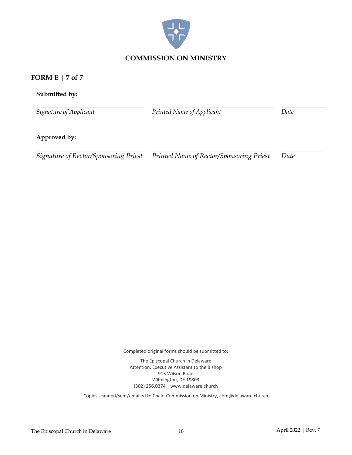

#### **FORM E | 7 of 7**

#### **Submitted by:**

*Signature of Applicant*

*Printed Name of Applicant Date*

#### **Approved by:**

*Signature of Rector/Sponsoring Priest Printed Name of Rector/Sponsoring Priest Date*

Completed original forms should be submitted to:

The Episcopal Church in Delaware Attention: Executive Assistant to the Bishop 913 Wilson Road Wilmington, DE 19803 (302) 256.0374 | www.delaware.church

Copies scanned/sent/emailed to Chair, Commission on Ministry, com@delaware.church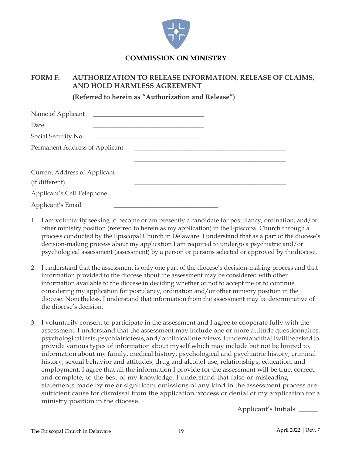

#### **COMMISSION ON MINISTRY**

#### **FORM F: AUTHORIZATION TO RELEASE INFORMATION, RELEASE OF CLAIMS, AND HOLD HARMLESS AGREEMENT**

**(Referred to herein as "Authorization and Release")**

| Date                                                  |                            |  |
|-------------------------------------------------------|----------------------------|--|
| Social Security No.                                   |                            |  |
| Permanent Address of Applicant                        |                            |  |
|                                                       |                            |  |
| <b>Current Address of Applicant</b><br>(if different) |                            |  |
|                                                       | Applicant's Cell Telephone |  |
| Applicant's Email                                     |                            |  |

- 1. I am voluntarily seeking to become or am presently a candidate for postulancy, ordination, and/or other ministry position (referred to herein as my application) in the Episcopal Church through a process conducted by the Episcopal Church in Delaware. I understand that as a part of the diocese's decision-making process about my application I am required to undergo a psychiatric and/or psychological assessment (assessment) by a person or persons selected or approved by thediocese.
- 2. I understand that the assessment is only one part of the diocese's decision-making process and that information provided to the diocese about the assessment may be considered with other information available to the diocese in deciding whether or not to accept me or to continue considering my application for postulancy, ordination and/or other ministry position in the diocese. Nonetheless, I understand that information from the assessment may be determinative of the diocese's decision.
- 3. I voluntarily consent to participate in the assessment and I agree to cooperate fully with the assessment. I understand that the assessment may include one or more attitude questionnaires, psychological tests, psychiatric tests, and/or clinical interviews. I understand that I will be asked to provide various types of information about myself which may include but not be limited to, information about my family, medical history, psychological and psychiatric history, criminal history, sexual behavior and attitudes, drug and alcohol use, relationships, education, and employment. I agree that all the information I provide for the assessment will be true, correct, and complete, to the best of my knowledge. I understand that false or misleading statements made by me or significant omissions of any kind in the assessment process are sufficient cause for dismissal from the application process or denial of my application for a ministry position in the diocese.

Applicant's Initials \_\_\_\_\_\_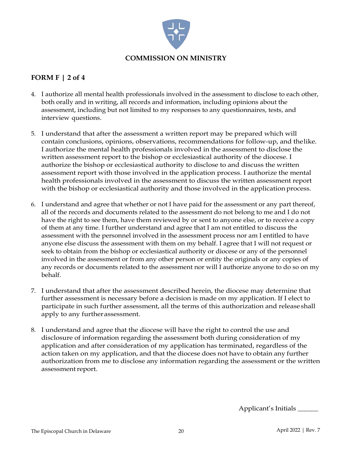

#### **FORM F | 2 of 4**

- 4. I authorize all mental health professionals involved in the assessment to disclose to each other, both orally and in writing, all records and information, including opinions about the assessment, including but not limited to my responses to any questionnaires, tests, and interview questions.
- 5. I understand that after the assessment a written report may be prepared which will contain conclusions, opinions, observations, recommendations for follow-up, and thelike. I authorize the mental health professionals involved in the assessment to disclose the written assessment report to the bishop or ecclesiastical authority of the diocese. I authorize the bishop or ecclesiastical authority to disclose to and discuss the written assessment report with those involved in the application process. I authorize the mental health professionals involved in the assessment to discuss the written assessment report with the bishop or ecclesiastical authority and those involved in the application process.
- 6. I understand and agree that whether or not I have paid for the assessment or any part thereof, all of the records and documents related to the assessment do not belong to me and I do not have the right to see them, have them reviewed by or sent to anyone else, or to receive a copy of them at any time. I further understand and agree that I am not entitled to discuss the assessment with the personnel involved in the assessment process nor am I entitled to have anyone else discuss the assessment with them on my behalf. I agree that I will not request or seek to obtain from the bishop or ecclesiastical authority or diocese or any of the personnel involved in the assessment or from any other person or entity the originals or any copies of any records or documents related to the assessment nor will I authorize anyone to do so on my behalf.
- 7. I understand that after the assessment described herein, the diocese may determine that further assessment is necessary before a decision is made on my application. If I elect to participate in such further assessment, all the terms of this authorization and release shall apply to any furtherassessment.
- 8. I understand and agree that the diocese will have the right to control the use and disclosure of information regarding the assessment both during consideration of my application and after consideration of my application has terminated, regardless of the action taken on my application, and that the diocese does not have to obtain any further authorization from me to disclose any information regarding the assessment or the written assessment report.

Applicant's Initials \_\_\_\_\_\_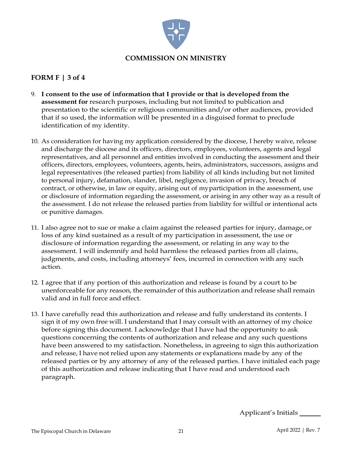

#### **FORM F | 3 of 4**

- 9. **I consent to the use of information that I provide or that is developed from the assessment for** research purposes, including but not limited to publication and presentation to the scientific or religious communities and/or other audiences, provided that if so used, the information will be presented in a disguised format to preclude identification of my identity.
- 10. As consideration for having my application considered by the diocese, I hereby waive, release and discharge the diocese and its officers, directors, employees, volunteers, agents and legal representatives, and all personnel and entities involved in conducting the assessment and their officers, directors, employees, volunteers, agents, heirs, administrators, successors, assigns and legal representatives (the released parties) from liability of all kinds including but not limited to personal injury, defamation, slander, libel, negligence, invasion of privacy, breach of contract, or otherwise, in law or equity, arising out of myparticipation in the assessment, use or disclosure of information regarding the assessment, or arising in any other way as a result of the assessment. I do not release the released parties from liability for willful or intentional acts or punitive damages.
- 11. I also agree not to sue or make a claim against the released parties for injury, damage,or loss of any kind sustained as a result of my participation in assessment, the use or disclosure of information regarding the assessment, or relating in any way to the assessment. I will indemnify and hold harmless the released parties from all claims, judgments, and costs, including attorneys' fees, incurred in connection with any such action.
- 12. I agree that if any portion of this authorization and release is found by a court to be unenforceable for any reason, the remainder of this authorization and release shall remain valid and in full force and effect.
- 13. I have carefully read this authorization and release and fully understand its contents. I sign it of my own free will. I understand that I may consult with an attorney of my choice before signing this document. I acknowledge that I have had the opportunity to ask questions concerning the contents of authorization and release and any such questions have been answered to my satisfaction. Nonetheless, in agreeing to sign this authorization and release, I have not relied upon any statements or explanations made by any of the released parties or by any attorney of any of the released parties. I have initialed each page of this authorization and release indicating that I have read and understood each paragraph.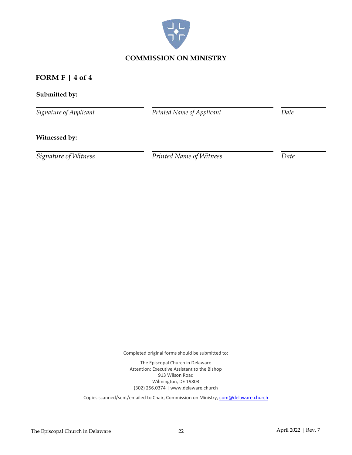

#### **FORM F | 4 of 4**

#### **Submitted by:**

*Signature of Applicant*

*Printed Name of Applicant Date*

#### **Witnessed by:**

*Signature of Witness Printed Name of Witness Date*

Completed original forms should be submitted to:

The Episcopal Church in Delaware Attention: Executive Assistant to the Bishop 913 Wilson Road Wilmington, DE 19803 (302) 256.0374 | www.delaware.church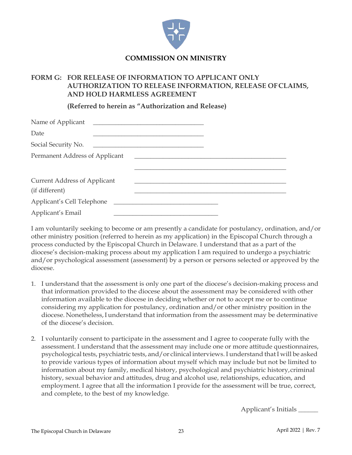

#### **FORM G: FOR RELEASE OF INFORMATION TO APPLICANT ONLY AUTHORIZATION TO RELEASE INFORMATION, RELEASE OFCLAIMS, AND HOLD HARMLESS AGREEMENT**

**(Referred to herein as "Authorization and Release)**

| Date                                                  |                            |  |
|-------------------------------------------------------|----------------------------|--|
| Social Security No.                                   |                            |  |
| Permanent Address of Applicant                        |                            |  |
|                                                       |                            |  |
| <b>Current Address of Applicant</b><br>(if different) |                            |  |
|                                                       | Applicant's Cell Telephone |  |
| Applicant's Email                                     |                            |  |

I am voluntarily seeking to become or am presently a candidate for postulancy, ordination, and/or other ministry position (referred to herein as my application) in the Episcopal Church through a process conducted by the Episcopal Church in Delaware. I understand that as a part of the diocese's decision-making process about my application I am required to undergo a psychiatric and/or psychological assessment (assessment) by a person or persons selected or approved by the diocese.

- 1. I understand that the assessment is only one part of the diocese's decision-making process and that information provided to the diocese about the assessment may be considered with other information available to the diocese in deciding whether or not to accept me or to continue considering my application for postulancy, ordination and/or other ministry position in the diocese. Nonetheless,Iunderstand that information from the assessment may be determinative of the diocese's decision.
- 2. I voluntarily consent to participate in the assessment and I agree to cooperate fully with the assessment. I understand that the assessment may include one or more attitude questionnaires, psychological tests, psychiatric tests, and/or clinical interviews. I understand that I will be asked to provide various types of information about myself which may include but not be limited to information about my family, medical history, psychological and psychiatric history,criminal history, sexual behavior and attitudes, drug and alcohol use, relationships, education, and employment. I agree that all the information I provide for the assessment will be true, correct, and complete, to the best of my knowledge.

Applicant's Initials \_\_\_\_\_\_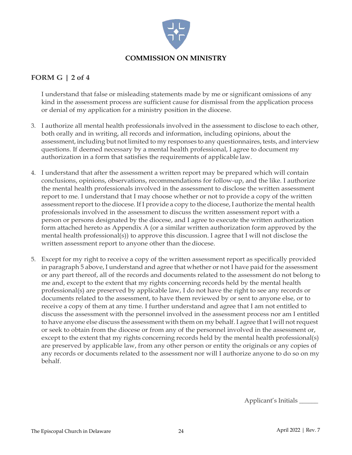

#### **FORM G | 2 of 4**

I understand that false or misleading statements made by me or significant omissions of any kind in the assessment process are sufficient cause for dismissal from the application process or denial of my application for a ministry position in the diocese.

- 3. I authorize all mental health professionals involved in the assessment to disclose to each other, both orally and in writing, all records and information, including opinions, about the assessment, including but not limited to my responses to any questionnaires, tests, and interview questions. If deemed necessary by a mental health professional, I agree to document my authorization in a form that satisfies the requirements of applicable law.
- 4. I understand that after the assessment a written report may be prepared which will contain conclusions, opinions, observations, recommendations for follow-up, and the like. I authorize the mental health professionals involved in the assessment to disclose the written assessment report to me. I understand that I may choose whether or not to provide a copy of the written assessment report to the diocese. If I provide a copy to the diocese, I authorize the mental health professionals involved in the assessment to discuss the written assessment report with a person or persons designated by the diocese, and I agree to execute the written authorization form attached hereto as Appendix A (or a similar written authorization form approved by the mental health professional(s)) to approve this discussion. I agree that I will not disclose the written assessment report to anyone other than the diocese.
- 5. Except for my right to receive a copy of the written assessment report as specifically provided in paragraph 5 above, I understand and agree that whether or not I have paid for the assessment or any part thereof, all of the records and documents related to the assessment do not belong to me and, except to the extent that my rights concerning records held by the mental health professional(s) are preserved by applicable law, I do not have the right to see any records or documents related to the assessment, to have them reviewed by or sent to anyone else, or to receive a copy of them at any time. I further understand and agree that I am not entitled to discuss the assessment with the personnel involved in the assessment process nor am I entitled to have anyone else discuss the assessment with them on my behalf.I agree that I will notrequest or seek to obtain from the diocese or from any of the personnel involved in the assessment or, except to the extent that my rights concerning records held by the mental health professional(s) are preserved by applicable law, from any other person or entity the originals or any copies of any records or documents related to the assessment nor will I authorize anyone to do so on my behalf.

Applicant's Initials \_\_\_\_\_\_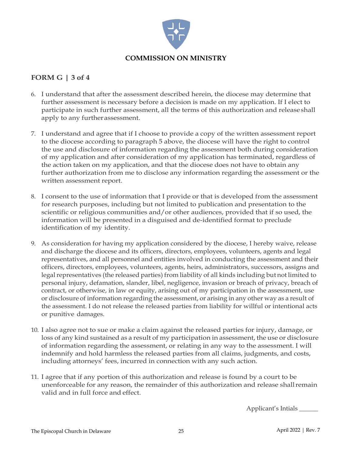

#### **FORM G | 3 of 4**

- 6. I understand that after the assessment described herein, the diocese may determine that further assessment is necessary before a decision is made on my application. If I elect to participate in such further assessment, all the terms of this authorization and release shall apply to any furtherassessment.
- 7. I understand and agree that if I choose to provide a copy of the written assessment report to the diocese according to paragraph 5 above, the diocese will have the right to control the use and disclosure of information regarding the assessment both during consideration of my application and after consideration of my application has terminated, regardless of the action taken on my application, and that the diocese does not have to obtain any further authorization from me to disclose any information regarding the assessment or the written assessment report.
- 8. I consent to the use of information that I provide or that is developed from the assessment for research purposes, including but not limited to publication and presentation to the scientific or religious communities and/or other audiences, provided that if so used, the information will be presented in a disguised and de-identified format to preclude identification of my identity.
- 9. As consideration for having my application considered by the diocese, I hereby waive, release and discharge the diocese and its officers, directors, employees, volunteers, agents and legal representatives, and all personnel and entities involved in conducting the assessment and their officers, directors, employees, volunteers, agents, heirs, administrators, successors, assigns and legal representatives (the released parties) from liability of all kinds including but not limited to personal injury, defamation, slander, libel, negligence, invasion or breach of privacy, breach of contract, or otherwise, in law or equity, arising out of my participation in the assessment, use or disclosure of information regarding the assessment, or arising in any other way as a result of the assessment. I do not release the released parties from liability for willful or intentional acts or punitive damages.
- 10. I also agree not to sue or make a claim against the released parties for injury, damage, or loss of any kind sustained as a result of my participation in assessment, the use or disclosure of information regarding the assessment, or relating in any way to the assessment. I will indemnify and hold harmless the released parties from all claims, judgments, and costs, including attorneys' fees, incurred in connection with any such action.
- 11. I agree that if any portion of this authorization and release is found by a court to be unenforceable for any reason, the remainder of this authorization and release shallremain valid and in full force and effect.

Applicant's Intials \_\_\_\_\_\_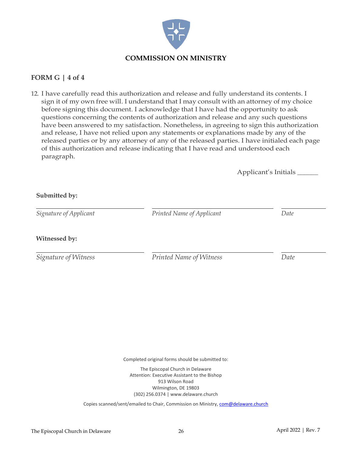

#### **FORM G | 4 of 4**

**Submitted by:**

12. I have carefully read this authorization and release and fully understand its contents. I sign it of my own free will. I understand that I may consult with an attorney of my choice before signing this document. I acknowledge that I have had the opportunity to ask questions concerning the contents of authorization and release and any such questions have been answered to my satisfaction. Nonetheless, in agreeing to sign this authorization and release, I have not relied upon any statements or explanations made by any of the released parties or by any attorney of any of the released parties. I have initialed each page of this authorization and release indicating that I have read and understood each paragraph.

Applicant's Initials \_\_\_\_\_\_

| Signature of Applicant | Printed Name of Applicant | Date |
|------------------------|---------------------------|------|
|                        |                           |      |
| Witnessed by:          |                           |      |
|                        |                           |      |

Completed original forms should be submitted to:

The Episcopal Church in Delaware Attention: Executive Assistant to the Bishop 913 Wilson Road Wilmington, DE 19803 (302) 256.0374 | www.delaware.church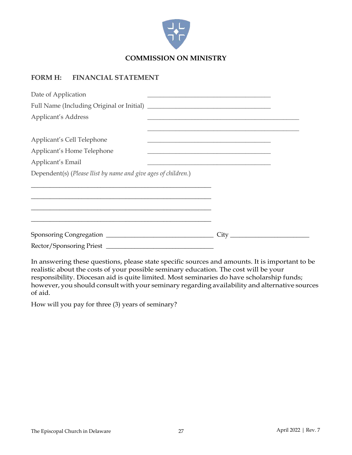

#### **FORM H: FINANCIAL STATEMENT**

| Date of Application                                            | <u> 2002 - Johann John Stein, syn y brening fan it ferstjer fan de ferstjer fan it ferstjer fan it ferstjer fan i</u>                                                                                                                         |  |
|----------------------------------------------------------------|-----------------------------------------------------------------------------------------------------------------------------------------------------------------------------------------------------------------------------------------------|--|
|                                                                |                                                                                                                                                                                                                                               |  |
| Applicant's Address                                            | <u> 1989 - Johann John Stone, markin fizikar (h. 1982).</u>                                                                                                                                                                                   |  |
| Applicant's Cell Telephone                                     | <u> 1989 - Johann Harry Harry Harry Harry Harry Harry Harry Harry Harry Harry Harry Harry Harry Harry Harry Harry</u><br><u> 1989 - Johann Stein, mars an deutscher Stein und der Stein und der Stein und der Stein und der Stein und der</u> |  |
| Applicant's Home Telephone                                     | <u> 1989 - Johann John Stone, markin amerikan basal dan berkembang di banyak di banyak di banyak di banyak di ban</u>                                                                                                                         |  |
| Applicant's Email                                              | <u> 1989 - Johann Stein, mars an deus Amerikaansk kommunister (</u>                                                                                                                                                                           |  |
| Dependent(s) (Please llist by name and give ages of children.) |                                                                                                                                                                                                                                               |  |
| <u> 1989 - Johann Stoff, amerikansk politiker (* 1908)</u>     |                                                                                                                                                                                                                                               |  |
|                                                                |                                                                                                                                                                                                                                               |  |
|                                                                |                                                                                                                                                                                                                                               |  |
|                                                                |                                                                                                                                                                                                                                               |  |
|                                                                | City                                                                                                                                                                                                                                          |  |
|                                                                |                                                                                                                                                                                                                                               |  |

In answering these questions, please state specific sources and amounts. It is important to be realistic about the costs of your possible seminary education. The cost will be your responsibility. Diocesan aid is quite limited. Most seminaries do have scholarship funds; however, you should consult with your seminary regarding availability and alternative sources of aid.

How will you pay for three (3) years of seminary?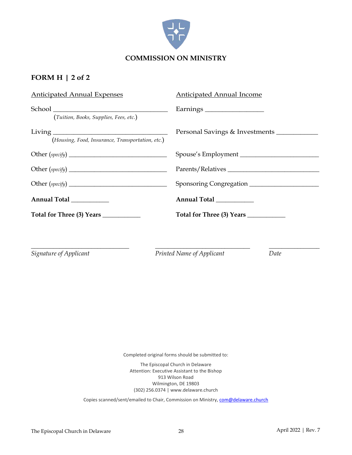

#### **FORM H | 2 of 2**

| <b>Anticipated Annual Expenses</b>               | Anticipated Annual Income      |
|--------------------------------------------------|--------------------------------|
| (Tuition, Books, Supplies, Fees, etc.)           |                                |
| (Housing, Food, Insurance, Transportation, etc.) | Personal Savings & Investments |
|                                                  | Spouse's Employment            |
|                                                  | Parents/Relatives              |
|                                                  | Sponsoring Congregation        |
| Annual Total                                     | Annual Total ___________       |
| Total for Three (3) Years ____________           |                                |
|                                                  |                                |

\_\_\_\_\_\_\_\_\_\_\_\_\_\_\_\_\_\_\_\_\_\_\_\_\_\_\_\_\_\_\_ \_\_\_\_\_\_\_\_\_\_\_\_\_\_\_\_\_\_\_\_\_\_\_\_\_\_\_\_\_\_ \_\_\_\_\_\_\_\_\_\_\_\_\_\_\_\_

*Signature of Applicant Printed Name of Applicant Date*

Completed original forms should be submitted to:

The Episcopal Church in Delaware Attention: Executive Assistant to the Bishop 913 Wilson Road Wilmington, DE 19803 (302) 256.0374 | www.delaware.church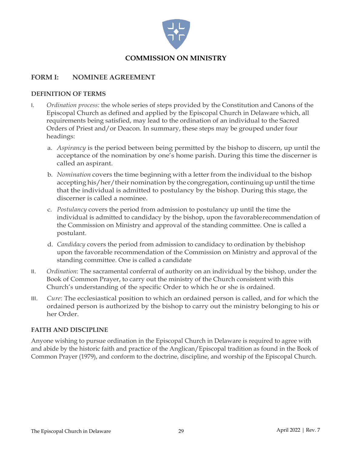

#### **FORM I: NOMINEE AGREEMENT**

#### **DEFINITION OF TERMS**

- I. *Ordination process:* the whole series of steps provided by the Constitution and Canons of the Episcopal Church as defined and applied by the Episcopal Church in Delaware which, all requirements being satisfied, may lead to the ordination of an individual to the Sacred Orders of Priest and/or Deacon. In summary, these steps may be grouped under four headings:
	- a. *Aspirancy* is the period between being permitted by the bishop to discern, up until the acceptance of the nomination by one's home parish. During this time the discerner is called an aspirant.
	- b. *Nomination* covers the time beginning with a letter from the individual to the bishop accepting his/her/their nomination by the congregation, continuing up until the time that the individual is admitted to postulancy by the bishop. During this stage, the discerner is called a nominee.
	- c. *Postulancy* covers the period from admission to postulancy up until the time the individual is admitted to candidacy by the bishop, upon the favorablerecommendation of the Commission on Ministry and approval of the standing committee. One is called a postulant.
	- d. *Candidacy* covers the period from admission to candidacy to ordination by thebishop upon the favorable recommendation of the Commission on Ministry and approval of the standing committee. One is called a candidate
- II. *Ordination*: The sacramental conferral of authority on an individual by the bishop, under the Book of Common Prayer, to carry out the ministry of the Church consistent with this Church's understanding of the specific Order to which he or she is ordained.
- III. *Cure*: The ecclesiastical position to which an ordained person is called, and for which the ordained person is authorized by the bishop to carry out the ministry belonging to his or her Order.

#### **FAITH AND DISCIPLINE**

Anyone wishing to pursue ordination in the Episcopal Church in Delaware is required to agree with and abide by the historic faith and practice of the Anglican/Episcopal tradition as found in the Book of Common Prayer (1979), and conform to the doctrine, discipline, and worship of the Episcopal Church.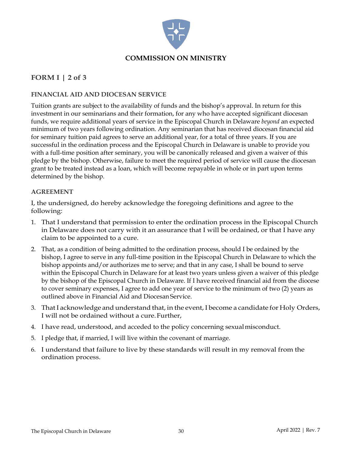

#### **FORM I | 2 of 3**

#### **FINANCIAL AID AND DIOCESAN SERVICE**

Tuition grants are subject to the availability of funds and the bishop's approval. In return for this investment in our seminarians and their formation, for any who have accepted significant diocesan funds, we require additional years of service in the Episcopal Church in Delaware *beyond* an expected minimum of two years following ordination. Any seminarian that has received diocesan financial aid for seminary tuition paid agrees to serve an additional year, for a total of three years. If you are successful in the ordination process and the Episcopal Church in Delaware is unable to provide you with a full-time position after seminary, you will be canonically released and given a waiver of this pledge by the bishop. Otherwise, failure to meet the required period of service will cause the diocesan grant to be treated instead as a loan, which will become repayable in whole or in part upon terms determined by the bishop.

#### **AGREEMENT**

I, the undersigned, do hereby acknowledge the foregoing definitions and agree to the following:

- 1. That I understand that permission to enter the ordination process in the Episcopal Church in Delaware does not carry with it an assurance that I will be ordained, or that I have any claim to be appointed to a cure.
- 2. That, as a condition of being admitted to the ordination process, should I be ordained by the bishop, I agree to serve in any full-time position in the Episcopal Church in Delaware to which the bishop appoints and/or authorizes me to serve; and that in any case, I shall be bound to serve within the Episcopal Church in Delaware for at least two years unless given a waiver of this pledge by the bishop of the Episcopal Church in Delaware. If I have received financial aid from the diocese to cover seminary expenses, I agree to add one year of service to the minimum of two (2) years as outlined above in Financial Aid and Diocesan Service.
- 3. That I acknowledge and understand that, in the event, I become a candidate for Holy Orders, I will not be ordained without a cure.Further,
- 4. I have read, understood, and acceded to the policy concerning sexualmisconduct.
- 5. I pledge that, if married, I will live within the covenant of marriage.
- 6. I understand that failure to live by these standards will result in my removal from the ordination process.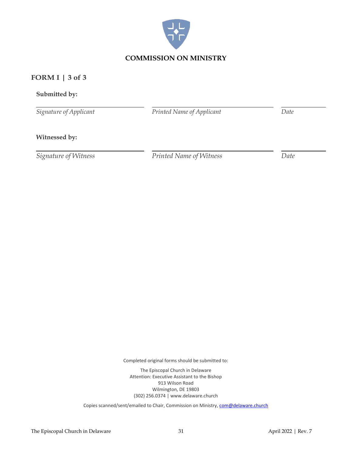

#### **FORM I | 3 of 3**

#### **Submitted by:**

*Signature of Applicant*

*Printed Name of Applicant Date*

#### **Witnessed by:**

*Signature of Witness Printed Name of Witness Date*

Completed original forms should be submitted to:

The Episcopal Church in Delaware Attention: Executive Assistant to the Bishop 913 Wilson Road Wilmington, DE 19803 (302) 256.0374 | www.delaware.church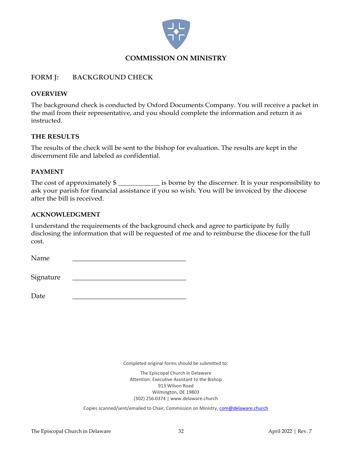

#### **FORM J: BACKGROUND CHECK**

#### **OVERVIEW**

The background check is conducted by Oxford Documents Company. You will receive a packet in the mail from their representative, and you should complete the information and return it as instructed.

#### **THE RESULTS**

The results of the check will be sent to the bishop for evaluation. The results are kept in the discernment file and labeled as confidential.

#### **PAYMENT**

The cost of approximately  $\frac{1}{2}$  is borne by the discerner. It is your responsibility to ask your parish for financial assistance if you so wish. You will be invoiced by the diocese after the bill is received.

#### **ACKNOWLEDGMENT**

I understand the requirements of the background check and agree to participate by fully disclosing the information that will be requested of me and to reimburse the diocese for the full cost.

Name <u>\_\_\_\_\_\_\_\_\_\_\_\_\_\_\_\_\_\_\_\_\_\_\_\_\_\_\_\_\_\_\_</u>

Signature

Date <u>\_\_\_\_\_\_\_\_\_\_\_\_\_\_\_\_\_\_\_\_\_\_\_\_\_\_\_\_\_\_</u>

Completed original forms should be submitted to:

The Episcopal Church in Delaware Attention: Executive Assistant to the Bishop 913 Wilson Road Wilmington, DE 19803 (302) 256.0374 | www.delaware.church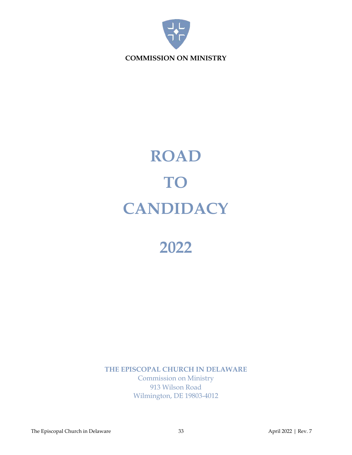

## **ROAD TO CANDIDACY**

### **2022**

**THE EPISCOPAL CHURCH IN DELAWARE** Commission on Ministry 913 Wilson Road Wilmington, DE 19803-4012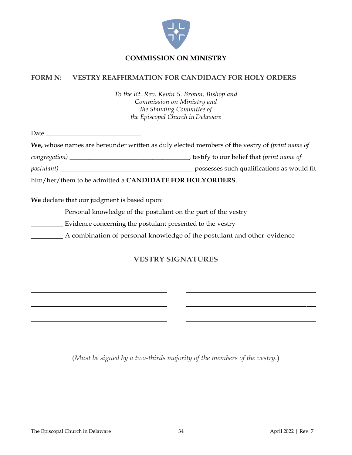

#### **FORM N: VESTRY REAFFIRMATION FOR CANDIDACY FOR HOLY ORDERS**

*To the Rt. Rev. Kevin S. Brown, Bishop and Commission on Ministry and the Standing Committee of the Episcopal Church in Delaware*

Date  $\Box$ 

**We,** whose names are hereunder written as duly elected members of the vestry of *(print name of* 

*congregation)* \_\_\_\_\_\_\_\_\_\_\_\_\_\_\_\_\_\_\_\_\_\_\_\_\_\_\_\_\_\_\_\_\_\_\_\_, testify to our belief that *(print name of*

*postulant)* \_\_\_\_\_\_\_\_\_\_\_\_\_\_\_\_\_\_\_\_\_\_\_\_\_\_\_\_\_\_\_\_\_\_\_\_\_\_\_\_ possesses such qualifications as would fit

him/her/them to be admitted a **CANDIDATE FOR HOLYORDERS**.

**We** declare that our judgment is based upon:

**Personal knowledge of the postulant on the part of the vestry** 

**Evidence concerning the postulant presented to the vestry** 

A combination of personal knowledge of the postulant and other evidence

#### **VESTRY SIGNATURES**

(*Must be signed by a two-thirds majority of the members of the vestry.*)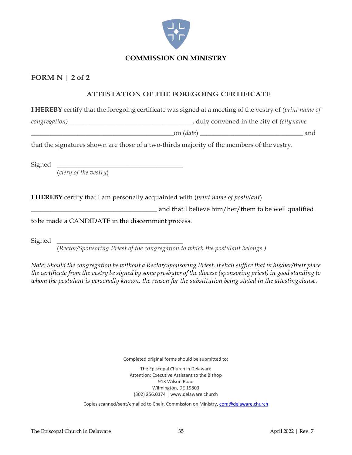

#### **FORM N | 2 of 2**

#### **ATTESTATION OF THE FOREGOING CERTIFICATE**

**I HEREBY** certify that the foregoing certificate was signed at a meeting of the vestry of *(print name of*

*congregation)* \_\_\_\_\_\_\_\_\_\_\_\_\_\_\_\_\_\_\_\_\_\_\_\_\_\_\_\_\_\_\_\_\_\_\_\_\_, duly convened in the city of *(cityname*

\_\_\_\_\_\_\_\_\_\_\_\_\_\_\_\_\_\_\_\_\_\_\_\_\_\_\_\_\_\_\_\_\_\_\_\_\_\_\_\_\_\_\_on (*date*) \_\_\_\_\_\_\_\_\_\_\_\_\_\_\_\_\_\_\_\_\_\_\_\_\_\_\_\_\_\_\_ and

that the signatures shown are those of a two-thirds majority of the members of thevestry.

Signed \_\_\_\_\_\_\_\_\_\_\_\_\_\_\_\_\_\_\_\_\_\_\_\_\_\_\_\_\_\_\_\_\_\_\_\_\_\_

(*clery of the vestry*)

**I HEREBY** certify that I am personally acquainted with (*print name of postulant*)

\_\_\_\_\_\_\_\_\_\_\_\_\_\_\_\_\_\_\_\_\_\_\_\_\_\_\_\_\_\_\_\_\_\_\_\_\_\_ and that I believe him/her/them to be well qualified

tobe made a CANDIDATE in the discernment process.

Signed \_\_\_\_\_\_\_\_\_\_\_\_\_\_\_\_\_\_\_\_\_\_\_\_\_\_\_\_\_\_\_\_\_\_\_\_\_\_

(*Rector/Sponsoring Priest of the congregation to which the postulant belongs.)*

*Note: Should the congregation be without a Rector/Sponsoring Priest, it shall suffice that in his/her/their place* the certificate from the vestry be signed by some presbyter of the diocese (sponsoring priest) in good standing to *whom the postulant is personally known, the reason for the substitution being stated in the attesting clause.*

Completed original forms should be submitted to:

The Episcopal Church in Delaware Attention: Executive Assistant to the Bishop 913 Wilson Road Wilmington, DE 19803 (302) 256.0374 | www.delaware.church

Copies scanned/sent/emailed to Chair, Commission on Ministry, [com@delaware.church](mailto:com@delaware.church)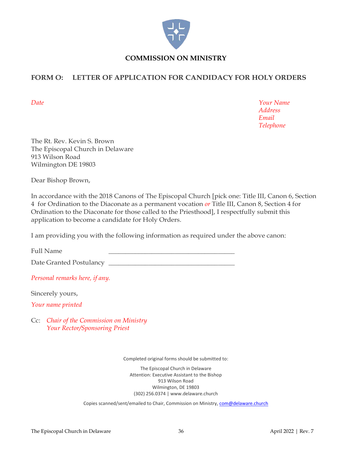

#### **FORM O: LETTER OF APPLICATION FOR CANDIDACY FOR HOLY ORDERS**

*Date Your Name Address Email Telephone*

The Rt. Rev. Kevin S. Brown The Episcopal Church in Delaware 913 Wilson Road Wilmington DE 19803

Dear Bishop Brown,

In accordance with the 2018 Canons of The Episcopal Church [pick one: Title III, Canon 6, Section 4 for Ordination to the Diaconate as a permanent vocation *or* Title III, Canon 8, Section 4 for Ordination to the Diaconate for those called to the Priesthood], I respectfully submit this application to become a candidate for Holy Orders.

I am providing you with the following information as required under the above canon:

Full Name

Date Granted Postulancy \_\_\_\_\_\_\_\_\_\_\_\_\_\_\_\_\_\_\_\_\_\_\_\_\_\_\_\_\_\_\_\_\_\_\_\_\_\_

*Personal remarks here, if any.*

Sincerely yours,

*Your name printed*

Cc: *Chair of the Commission on Ministry Your Rector/Sponsoring Priest*

Completed original forms should be submitted to:

The Episcopal Church in Delaware Attention: Executive Assistant to the Bishop 913 Wilson Road Wilmington, DE 19803 (302) 256.0374 | www.delaware.church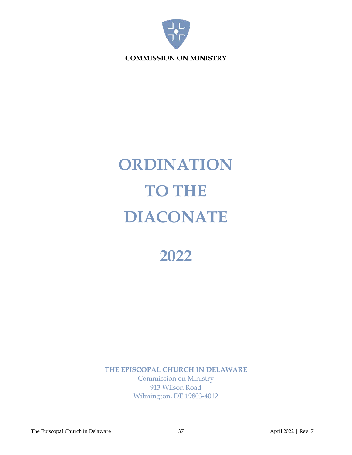

# **ORDINATION TO THE DIACONATE**

**2022**

**THE EPISCOPAL CHURCH IN DELAWARE** Commission on Ministry 913 Wilson Road Wilmington, DE 19803-4012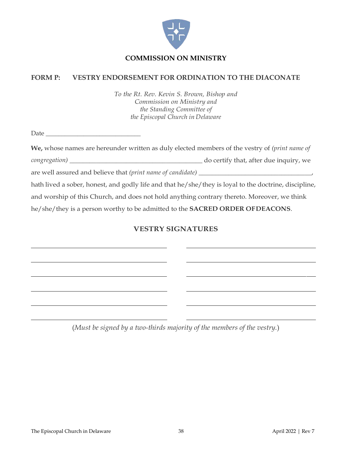

#### **FORM P: VESTRY ENDORSEMENT FOR ORDINATION TO THE DIACONATE**

*To the Rt. Rev. Kevin S. Brown, Bishop and Commission on Ministry and the Standing Committee of the Episcopal Church in Delaware*

Date \_\_\_\_\_\_\_\_\_\_\_\_\_\_\_\_\_\_\_\_\_\_\_\_\_\_\_\_\_\_

| We, whose names are hereunder written as duly elected members of the vestry of <i>(print name of</i>  |                                        |  |
|-------------------------------------------------------------------------------------------------------|----------------------------------------|--|
| congregation) ________                                                                                | do certify that, after due inquiry, we |  |
| are well assured and believe that (print name of candidate) ______                                    |                                        |  |
| hath lived a sober, honest, and godly life and that he/she/they is loyal to the doctrine, discipline, |                                        |  |
| and worship of this Church, and does not hold anything contrary thereto. Moreover, we think           |                                        |  |
| he/she/they is a person worthy to be admitted to the <b>SACRED ORDER OFDEACONS</b> .                  |                                        |  |

#### **VESTRY SIGNATURES**

(*Must be signed by a two-thirds majority of the members of the vestry.*)

<u> 1980 - Johann Barbara, martin amerikan ba</u>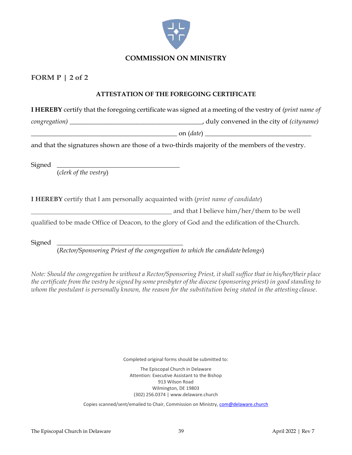

#### **FORM P | 2 of 2**

#### **ATTESTATION OF THE FOREGOING CERTIFICATE**

**I HEREBY** certify that the foregoing certificate was signed at a meeting of the vestry of *(print name of*

*congregation)* \_\_\_\_\_\_\_\_\_\_\_\_\_\_\_\_\_\_\_\_\_\_\_\_\_\_\_\_\_\_\_\_\_\_\_\_\_\_\_\_, duly convened in the city of *(cityname)*

 $\text{on } (date)$ 

and that the signatures shown are those of a two-thirds majority of the members of thevestry.

Signed \_\_\_\_\_\_\_\_\_\_\_\_\_\_\_\_\_\_\_\_\_\_\_\_\_\_\_\_\_\_\_\_\_\_\_\_\_

(*clerk of the vestry*)

**I HEREBY** certify that I am personally acquainted with (*print name of candidate*)

and that I believe him/her/them to be well

qualified tobe made Office of Deacon, to the glory of God and the edification of theChurch.

Signed \_\_\_\_\_\_\_\_\_\_\_\_\_\_\_\_\_\_\_\_\_\_\_\_\_\_\_\_\_\_\_\_\_\_\_\_\_\_

(*Rector/Sponsoring Priest of the congregation to which the candidate belongs*)

*Note: Should the congregation be without a Rector/Sponsoring Priest, it shall suffice that in his/her/their place*  the certificate from the vestry be signed by some presbyter of the diocese (sponsoring priest) in good standing to *whom the postulant is personally known, the reason for the substitution being stated in the attesting clause*.

Completed original forms should be submitted to:

The Episcopal Church in Delaware Attention: Executive Assistant to the Bishop 913 Wilson Road Wilmington, DE 19803 (302) 256.0374 | www.delaware.church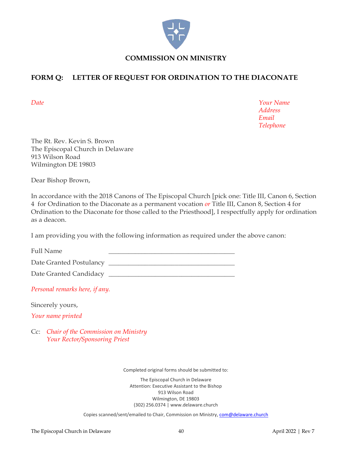

#### **FORM Q: LETTER OF REQUEST FOR ORDINATION TO THE DIACONATE**

*Date Your Name Address Email Telephone*

The Rt. Rev. Kevin S. Brown The Episcopal Church in Delaware 913 Wilson Road Wilmington DE 19803

Dear Bishop Brown,

In accordance with the 2018 Canons of The Episcopal Church [pick one: Title III, Canon 6, Section 4 for Ordination to the Diaconate as a permanent vocation *or* Title III, Canon 8, Section 4 for Ordination to the Diaconate for those called to the Priesthood], I respectfully apply for ordination as a deacon.

I am providing you with the following information as required under the above canon:

Full Name

Date Granted Postulancy \_\_\_\_\_\_\_\_\_\_\_\_\_\_\_\_\_\_\_\_\_\_\_\_\_\_\_\_\_\_\_\_\_\_\_\_\_\_

Date Granted Candidacy \_\_\_\_\_\_\_\_\_\_\_\_\_\_\_\_\_\_\_\_\_\_\_\_\_\_\_\_\_\_\_\_\_\_\_\_\_\_

*Personal remarks here, if any.*

Sincerely yours,

*Your name printed*

Cc: *Chair of the Commission on Ministry Your Rector/Sponsoring Priest*

Completed original forms should be submitted to:

The Episcopal Church in Delaware Attention: Executive Assistant to the Bishop 913 Wilson Road Wilmington, DE 19803 (302) 256.0374 | www.delaware.church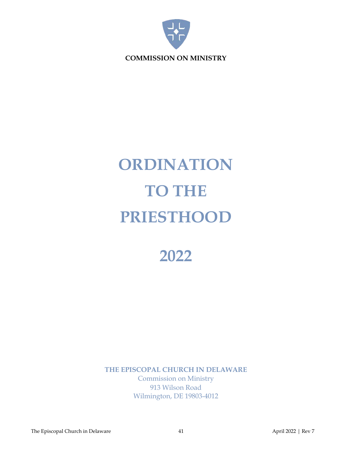

# **ORDINATION TO THE PRIESTHOOD**

## **2022**

**THE EPISCOPAL CHURCH IN DELAWARE** Commission on Ministry 913 Wilson Road Wilmington, DE 19803-4012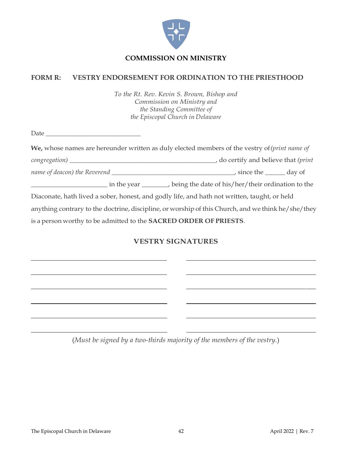

#### **FORM R: VESTRY ENDORSEMENT FOR ORDINATION TO THE PRIESTHOOD**

*To the Rt. Rev. Kevin S. Brown, Bishop and Commission on Ministry and the Standing Committee of the Episcopal Church in Delaware*

| $\text{Date} \underline{\hspace{2cm}} \underline{\hspace{2cm}}$                                    |  |  |
|----------------------------------------------------------------------------------------------------|--|--|
| We, whose names are hereunder written as duly elected members of the vestry of (print name of      |  |  |
|                                                                                                    |  |  |
|                                                                                                    |  |  |
| in the year ________________ being the date of his/her/their ordination to the                     |  |  |
| Diaconate, hath lived a sober, honest, and godly life, and hath not written, taught, or held       |  |  |
| anything contrary to the doctrine, discipline, or worship of this Church, and we think he/she/they |  |  |
| is a person worthy to be admitted to the SACRED ORDER OF PRIESTS.                                  |  |  |

#### **VESTRY SIGNATURES**

(*Must be signed by a two-thirds majority of the members of the vestry.*)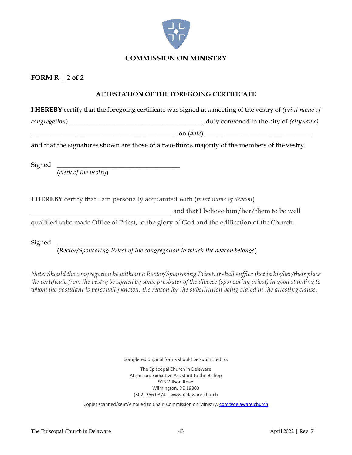

#### **FORM R | 2 of 2**

#### **ATTESTATION OF THE FOREGOING CERTIFICATE**

**I HEREBY** certify that the foregoing certificate was signed at a meeting of the vestry of *(print name of*

*congregation)* \_\_\_\_\_\_\_\_\_\_\_\_\_\_\_\_\_\_\_\_\_\_\_\_\_\_\_\_\_\_\_\_\_\_\_\_\_\_\_\_, duly convened in the city of *(cityname)*

 $\text{on } (date)$ 

and that the signatures shown are those of a two-thirds majority of the members of thevestry.

Signed \_\_\_\_\_\_\_\_\_\_\_\_\_\_\_\_\_\_\_\_\_\_\_\_\_\_\_\_\_\_\_\_\_\_\_\_\_

(*clerk of the vestry*)

**I HEREBY** certify that I am personally acquainted with (*print name of deacon*)

and that I believe him/her/them to be well

qualified tobe made Office of Priest, to the glory of God and the edification of theChurch.

Signed \_\_\_\_\_\_\_\_\_\_\_\_\_\_\_\_\_\_\_\_\_\_\_\_\_\_\_\_\_\_\_\_\_\_\_\_\_\_

(*Rector/Sponsoring Priest of the congregation to which the deacon belongs*)

*Note: Should the congregation be without a Rector/Sponsoring Priest, it shall suffice that in his/her/their place*  the certificate from the vestry be signed by some presbyter of the diocese (sponsoring priest) in good standing to *whom the postulant is personally known, the reason for the substitution being stated in the attesting clause*.

Completed original forms should be submitted to:

The Episcopal Church in Delaware Attention: Executive Assistant to the Bishop 913 Wilson Road Wilmington, DE 19803 (302) 256.0374 | www.delaware.church